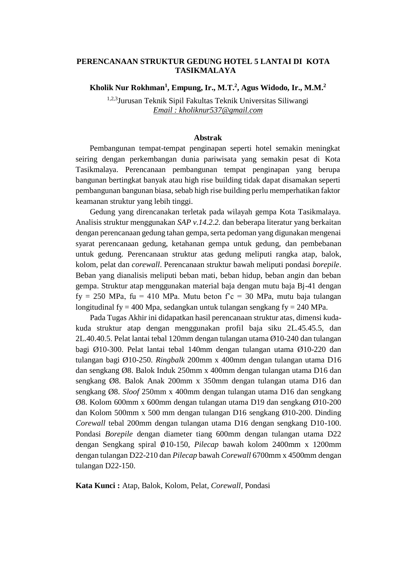## **PERENCANAAN STRUKTUR GEDUNG HOTEL 5 LANTAI DI KOTA TASIKMALAYA**

**Kholik Nur Rokhman<sup>1</sup> , Empung, Ir., M.T.<sup>2</sup> , Agus Widodo, Ir., M.M. 2**

1,2,3Jurusan Teknik Sipil Fakultas Teknik Universitas Siliwangi *Email : kholiknur537@gmail.com*

## **Abstrak**

Pembangunan tempat-tempat penginapan seperti hotel semakin meningkat seiring dengan perkembangan dunia pariwisata yang semakin pesat di Kota Tasikmalaya. Perencanaan pembangunan tempat penginapan yang berupa bangunan bertingkat banyak atau high rise building tidak dapat disamakan seperti pembangunan bangunan biasa, sebab high rise building perlu memperhatikan faktor keamanan struktur yang lebih tinggi.

Gedung yang direncanakan terletak pada wilayah gempa Kota Tasikmalaya. Analisis struktur menggunakan *SAP v.14.2.2.* dan beberapa literatur yang berkaitan dengan perencanaan gedung tahan gempa, serta pedoman yang digunakan mengenai syarat perencanaan gedung, ketahanan gempa untuk gedung, dan pembebanan untuk gedung. Perencanaan struktur atas gedung meliputi rangka atap, balok, kolom, pelat dan *corewall*. Perencanaan struktur bawah meliputi pondasi *borepile*. Beban yang dianalisis meliputi beban mati, beban hidup, beban angin dan beban gempa. Struktur atap menggunakan material baja dengan mutu baja Bj-41 dengan fy = 250 MPa, fu = 410 MPa. Mutu beton  $fc = 30$  MPa, mutu baja tulangan longitudinal fy = 400 Mpa, sedangkan untuk tulangan sengkang fy = 240 MPa.

Pada Tugas Akhir ini didapatkan hasil perencanaan struktur atas, dimensi kudakuda struktur atap dengan menggunakan profil baja siku 2L.45.45.5, dan 2L.40.40.5. Pelat lantai tebal 120mm dengan tulangan utama Ø10-240 dan tulangan bagi Ø10-300. Pelat lantai tebal 140mm dengan tulangan utama Ø10-220 dan tulangan bagi Ø10-250. *Ringbalk* 200mm x 400mm dengan tulangan utama D16 dan sengkang Ø8. Balok Induk 250mm x 400mm dengan tulangan utama D16 dan sengkang Ø8. Balok Anak 200mm x 350mm dengan tulangan utama D16 dan sengkang Ø8. *Sloof* 250mm x 400mm dengan tulangan utama D16 dan sengkang Ø8. Kolom 600mm x 600mm dengan tulangan utama D19 dan sengkang Ø10-200 dan Kolom 500mm x 500 mm dengan tulangan D16 sengkang Ø10-200. Dinding *Corewall* tebal 200mm dengan tulangan utama D16 dengan sengkang D10-100. Pondasi *Borepile* dengan diameter tiang 600mm dengan tulangan utama D22 dengan Sengkang spiral ∅10-150, *Pilecap* bawah kolom 2400mm x 1200mm dengan tulangan D22-210 dan *Pilecap* bawah *Corewall* 6700mm x 4500mm dengan tulangan D22-150.

**Kata Kunci :** Atap, Balok, Kolom, Pelat, *Corewall*, Pondasi